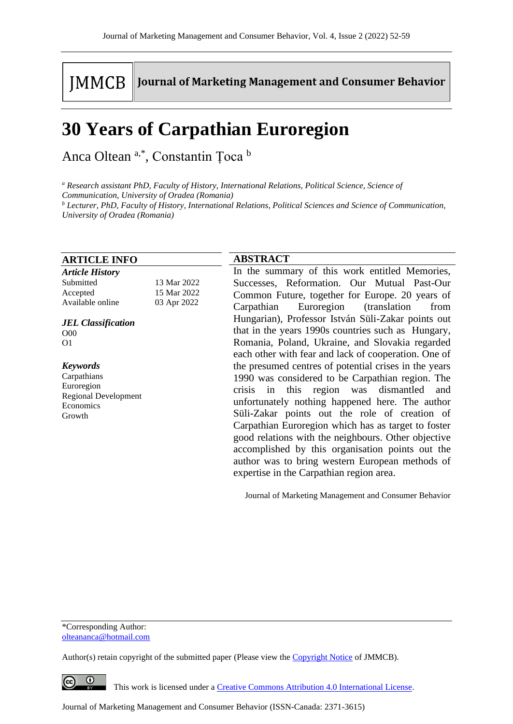# **IMMCB**

**Journal of Marketing Management and Consumer Behavior** 

## **30 Years of Carpathian Euroregion**

Anca Oltean<sup>a,\*</sup>, Constantin Țoca b

*<sup>a</sup> Research assistant PhD, Faculty of History, International Relations, Political Science, Science of* 

*Communication, University of Oradea (Romania)*

*<sup>b</sup> Lecturer, PhD, Faculty of History, International Relations, Political Sciences and Science of Communication, University of Oradea (Romania)*

#### **ARTICLE INFO**

| <b>Article History</b> |             |
|------------------------|-------------|
| Submitted              | 13 Mar 2022 |
| Accepted               | 15 Mar 2022 |
| Available online       | 03 Apr 2022 |
|                        |             |

#### *JEL Classification* O00 O1

*Keywords*

Carpathians Euroregion Regional Development Economics Growth

### **ABSTRACT**

In the summary of this work entitled Memories, Successes, Reformation. Our Mutual Past-Our Common Future, together for Europe. 20 years of Carpathian Euroregion (translation from Hungarian), Professor István Süli-Zakar points out that in the years 1990s countries such as Hungary, Romania, Poland, Ukraine, and Slovakia regarded each other with fear and lack of cooperation. One of the presumed centres of potential crises in the years 1990 was considered to be Carpathian region. The crisis in this region was dismantled and unfortunately nothing happened here. The author Süli-Zakar points out the role of creation of Carpathian Euroregion which has as target to foster good relations with the neighbours. Other objective accomplished by this organisation points out the author was to bring western European methods of expertise in the Carpathian region area.

Journal of Marketing Management and Consumer Behavior

\*Corresponding Author: olteananca@hotmail.com

Author(s) retain copyright of the submitted paper (Please view th[e Copyright Notice](http://www.journal-of-marketing-management-and-consumer-behavior.com/index.php/JMMCB/about/submissions#copyrightNotice) of JMMCB).

 $\bullet$ 

This work is licensed under a [Creative Commons Attribution 4.0 International License.](http://creativecommons.org/licenses/by/4.0/)

Journal of Marketing Management and Consumer Behavior (ISSN-Canada: 2371-3615)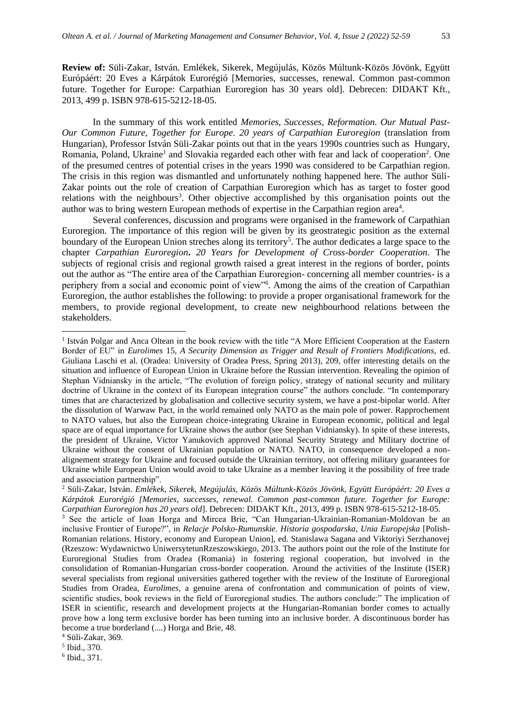**Review of:** Süli-Zakar, István. Emlékek, Sikerek, Megújulás, Közös Múltunk-Közös Jövönk, Együtt Európáért: 20 Eves a Kárpátok Eurorégió [Memories, successes, renewal. Common past-common future. Together for Europe: Carpathian Euroregion has 30 years old]. Debrecen: DIDAKT Kft., 2013, 499 p. ISBN 978-615-5212-18-05.

In the summary of this work entitled *Memories, Successes, Reformation. Our Mutual Past-Our Common Future, Together for Europe. 20 years of Carpathian Euroregion (translation from* Hungarian), Professor István Süli-Zakar points out that in the years 1990s countries such as Hungary, Romania, Poland, Ukraine<sup>1</sup> and Slovakia regarded each other with fear and lack of cooperation<sup>2</sup>. One of the presumed centres of potential crises in the years 1990 was considered to be Carpathian region. The crisis in this region was dismantled and unfortunately nothing happened here. The author Süli-Zakar points out the role of creation of Carpathian Euroregion which has as target to foster good relations with the neighbours<sup>3</sup>. Other objective accomplished by this organisation points out the author was to bring western European methods of expertise in the Carpathian region area<sup>4</sup>.

Several conferences, discussion and programs were organised in the framework of Carpathian Euroregion. The importance of this region will be given by its geostrategic position as the external boundary of the European Union streches along its territory<sup>5</sup>. The author dedicates a large space to the chapter *Carpathian Euroregion***.** *20 Years for Development of Cross-border Cooperation*. The subjects of regional crisis and regional growth raised a great interest in the regions of border, points out the author as "The entire area of the Carpathian Euroregion- concerning all member countries- is a periphery from a social and economic point of view"<sup>6</sup>. Among the aims of the creation of Carpathian Euroregion, the author establishes the following: to provide a proper organisational framework for the members, to provide regional development, to create new neighbourhood relations between the stakeholders.

5 Ibid., 370.

6 Ibid., 371.

<sup>&</sup>lt;sup>1</sup> István Polgar and Anca Oltean in the book review with the title "A More Efficient Cooperation at the Eastern Border of EU" in *Eurolimes* 15, *A Security Dimension as Trigger and Result of Frontiers Modifications,* ed. Giuliana Laschi et al. (Oradea: University of Oradea Press, Spring 2013), 209, offer interesting details on the situation and influence of European Union in Ukraine before the Russian intervention. Revealing the opinion of Stephan Vidniansky in the article, "The evolution of foreign policy, strategy of national security and military doctrine of Ukraine in the context of its European integration course" the authors conclude. "In contemporary times that are characterized by globalisation and collective security system, we have a post-bipolar world. After the dissolution of Warwaw Pact, in the world remained only NATO as the main pole of power. Rapprochement to NATO values, but also the European choice-integrating Ukraine in European economic, political and legal space are of equal importance for Ukraine shows the author (see Stephan Vidniansky). In spite of these interests, the president of Ukraine, Victor Yanukovich approved National Security Strategy and Military doctrine of Ukraine without the consent of Ukrainian population or NATO. NATO, in consequence developed a nonalignement strategy for Ukraine and focused outside the Ukrainian territory, not offering military guarantees for Ukraine while European Union would avoid to take Ukraine as a member leaving it the possibility of free trade and association partnership".

<sup>2</sup> Süli-Zakar, István. *Emlékek, Sikerek, Megújulás, Közös Múltunk-Közös Jövönk, Együtt Európáért: 20 Eves a Kárpátok Eurorégió [Memories, successes, renewal. Common past-common future. Together for Europe: Carpathian Euroregion has 20 years old*]. Debrecen: DIDAKT Kft., 2013, 499 p. ISBN 978-615-5212-18-05.

<sup>3</sup> See the article of Ioan Horga and Mircea Brie, "Can Hungarian-Ukrainian-Romanian-Moldovan be an inclusive Frontier of Europe?", in *Relacje Polsko-Rumunskie. Historia gospodarska, Unia Europejska* [Polish-Romanian relations. History, economy and European Union], ed. Stanislawa Sagana and Viktoriyi Serzhanovej (Rzeszow: Wydawnictwo UniwersytetunRzeszowskiego, 2013. The authors point out the role of the Institute for Euroregional Studies from Oradea (Romania) in fostering regional cooperation, but involved in the consolidation of Romanian-Hungarian cross-border cooperation. Around the activities of the Institute (ISER) several specialists from regional universities gathered together with the review of the Institute of Euroregional Studies from Oradea, *Eurolimes,* a genuine arena of confrontation and communication of points of view, scientific studies, book reviews in the field of Euroregional studies. The authors conclude:" The implication of ISER in scientific, research and development projects at the Hungarian-Romanian border comes to actually prove how a long term exclusive border has been turning into an inclusive border. A discontinuous border has become a true borderland (....) Horga and Brie, 48.

<sup>4</sup> Süli-Zakar, 369.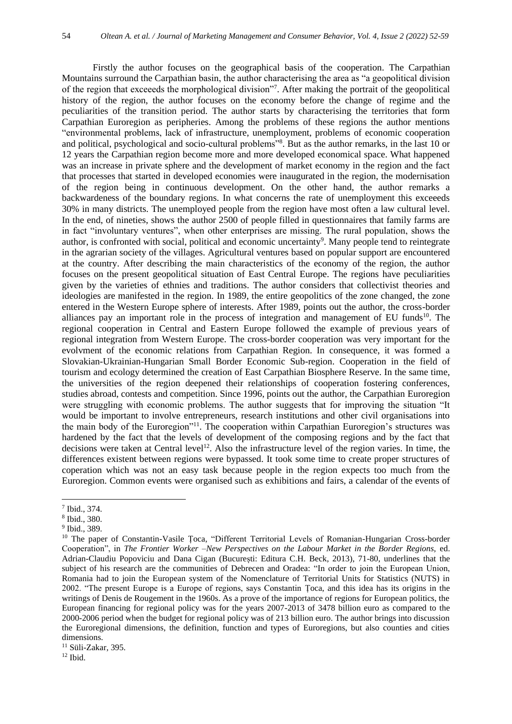Firstly the author focuses on the geographical basis of the cooperation. The Carpathian Mountains surround the Carpathian basin, the author characterising the area as "a geopolitical division of the region that exceeeds the morphological division"<sup>7</sup> . After making the portrait of the geopolitical history of the region, the author focuses on the economy before the change of regime and the peculiarities of the transition period. The author starts by characterising the territories that form Carpathian Euroregion as peripheries. Among the problems of these regions the author mentions "environmental problems, lack of infrastructure, unemployment, problems of economic cooperation and political, psychological and socio-cultural problems"<sup>8</sup>. But as the author remarks, in the last 10 or 12 years the Carpathian region become more and more developed economical space. What happened was an increase in private sphere and the development of market economy in the region and the fact that processes that started in developed economies were inaugurated in the region, the modernisation of the region being in continuous development. On the other hand, the author remarks a backwardeness of the boundary regions. In what concerns the rate of unemployment this exceeeds 30% in many districts. The unemployed people from the region have most often a law cultural level. In the end, of nineties, shows the author 2500 of people filled in questionnaires that family farms are in fact "involuntary ventures", when other enterprises are missing. The rural population, shows the author, is confronted with social, political and economic uncertainty<sup>9</sup>. Many people tend to reintegrate in the agrarian society of the villages. Agricultural ventures based on popular support are encountered at the country. After describing the main characteristics of the economy of the region, the author focuses on the present geopolitical situation of East Central Europe. The regions have peculiarities given by the varieties of ethnies and traditions. The author considers that collectivist theories and ideologies are manifested in the region. In 1989, the entire geopolitics of the zone changed, the zone entered in the Western Europe sphere of interests. After 1989, points out the author, the cross-border alliances pay an important role in the process of integration and management of EU funds<sup>10</sup>. The regional cooperation in Central and Eastern Europe followed the example of previous years of regional integration from Western Europe. The cross-border cooperation was very important for the evolvment of the economic relations from Carpathian Region. In consequence, it was formed a Slovakian-Ukrainian-Hungarian Small Border Economic Sub-region. Cooperation in the field of tourism and ecology determined the creation of East Carpathian Biosphere Reserve. In the same time, the universities of the region deepened their relationships of cooperation fostering conferences, studies abroad, contests and competition. Since 1996, points out the author, the Carpathian Euroregion were struggling with economic problems. The author suggests that for improving the situation "It would be important to involve entrepreneurs, research institutions and other civil organisations into the main body of the Euroregion"<sup>11</sup>. The cooperation within Carpathian Euroregion's structures was hardened by the fact that the levels of development of the composing regions and by the fact that decisions were taken at Central level<sup>12</sup>. Also the infrastructure level of the region varies. In time, the differences existent between regions were bypassed. It took some time to create proper structures of coperation which was not an easy task because people in the region expects too much from the Euroregion. Common events were organised such as exhibitions and fairs, a calendar of the events of

<sup>7</sup> Ibid., 374.

<sup>8</sup> Ibid., 380.

<sup>&</sup>lt;sup>9</sup> Ibid., 389.

<sup>&</sup>lt;sup>10</sup> The paper of Constantin-Vasile Toca, "Different Territorial Levels of Romanian-Hungarian Cross-border Cooperation", in *The Frontier Worker –New Perspectives on the Labour Market in the Border Regions,* ed. Adrian-Claudiu Popoviciu and Dana Cigan (București: Editura C.H. Beck, 2013), 71-80, underlines that the subject of his research are the communities of Debrecen and Oradea: "In order to join the European Union, Romania had to join the European system of the Nomenclature of Territorial Units for Statistics (NUTS) in 2002. "The present Europe is a Europe of regions, says Constantin Țoca, and this idea has its origins in the writings of Denis de Rougement in the 1960s. As a prove of the importance of regions for European politics, the European financing for regional policy was for the years 2007-2013 of 3478 billion euro as compared to the 2000-2006 period when the budget for regional policy was of 213 billion euro. The author brings into discussion the Euroregional dimensions, the definition, function and types of Euroregions, but also counties and cities dimensions.

<sup>11</sup> Süli-Zakar, 395.

 $12$  Ibid.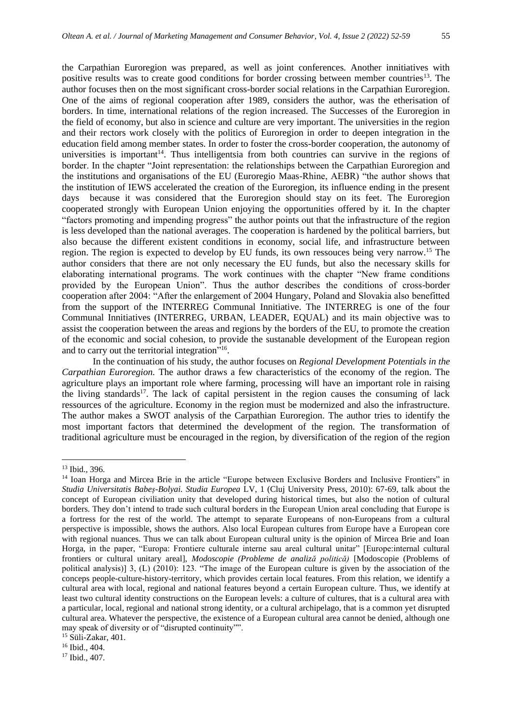the Carpathian Euroregion was prepared, as well as joint conferences. Another innitiatives with positive results was to create good conditions for border crossing between member countries<sup>13</sup>. The author focuses then on the most significant cross-border social relations in the Carpathian Euroregion. One of the aims of regional cooperation after 1989, considers the author, was the etherisation of borders. In time, international relations of the region increased. The Successes of the Euroregion in the field of economy, but also in science and culture are very important. The universities in the region and their rectors work closely with the politics of Euroregion in order to deepen integration in the education field among member states. In order to foster the cross-border cooperation, the autonomy of universities is important<sup>14</sup>. Thus intelligentsia from both countries can survive in the regions of border. In the chapter "Joint representation: the relationships between the Carpathian Euroregion and the institutions and organisations of the EU (Euroregio Maas-Rhine, AEBR) "the author shows that the institution of IEWS accelerated the creation of the Euroregion, its influence ending in the present days because it was considered that the Euroregion should stay on its feet. The Euroregion cooperated strongly with European Union enjoying the opportunities offered by it. In the chapter "factors promoting and impending progress" the author points out that the infrastructure of the region is less developed than the national averages. The cooperation is hardened by the political barriers, but also because the different existent conditions in economy, social life, and infrastructure between region. The region is expected to develop by EU funds, its own ressouces being very narrow.<sup>15</sup> The author considers that there are not only necessary the EU funds, but also the necessary skills for elaborating international programs. The work continues with the chapter "New frame conditions provided by the European Union". Thus the author describes the conditions of cross-border cooperation after 2004: "After the enlargement of 2004 Hungary, Poland and Slovakia also benefitted from the support of the INTERREG Communal Innitiative. The INTERREG is one of the four Communal Innitiatives (INTERREG, URBAN, LEADER, EQUAL) and its main objective was to assist the cooperation between the areas and regions by the borders of the EU, to promote the creation of the economic and social cohesion, to provide the sustanable development of the European region and to carry out the territorial integration"<sup>16</sup>.

In the continuation of his study, the author focuses on *Regional Development Potentials in the Carpathian Euroregion.* The author draws a few characteristics of the economy of the region. The agriculture plays an important role where farming, processing will have an important role in raising the living standards<sup>17</sup>. The lack of capital persistent in the region causes the consuming of lack ressources of the agriculture. Economy in the region must be modernized and also the infrastructure. The author makes a SWOT analysis of the Carpathian Euroregion. The author tries to identify the most important factors that determined the development of the region. The transformation of traditional agriculture must be encouraged in the region, by diversification of the region of the region

<sup>13</sup> Ibid., 396.

<sup>&</sup>lt;sup>14</sup> Ioan Horga and Mircea Brie in the article "Europe between Exclusive Borders and Inclusive Frontiers" in *Studia Universitatis Babeș-Bolyai. Studia Europea* LV, 1 (Cluj University Press, 2010): 67-69, talk about the concept of European civiliation unity that developed during historical times, but also the notion of cultural borders. They don't intend to trade such cultural borders in the European Union areal concluding that Europe is a fortress for the rest of the world. The attempt to separate Europeans of non-Europeans from a cultural perspective is impossible, shows the authors. Also local European cultures from Europe have a European core with regional nuances. Thus we can talk about European cultural unity is the opinion of Mircea Brie and Ioan Horga, in the paper, "Europa: Frontiere culturale interne sau areal cultural unitar" [Europe:internal cultural frontiers or cultural unitary areal], *Modoscopie (Probleme de analiză politică)* [Modoscopie (Problems of political analysis)] 3, (L) (2010): 123. "The image of the European culture is given by the association of the conceps people-culture-history-territory, which provides certain local features. From this relation, we identify a cultural area with local, regional and national features beyond a certain European culture. Thus, we identify at least two cultural identity constructions on the European levels: a culture of cultures, that is a cultural area with a particular, local, regional and national strong identity, or a cultural archipelago, that is a common yet disrupted cultural area. Whatever the perspective, the existence of a European cultural area cannot be denied, although one may speak of diversity or of "disrupted continuity"".

<sup>15</sup> Süli-Zakar, 401.

<sup>16</sup> Ibid., 404.

<sup>17</sup> Ibid., 407.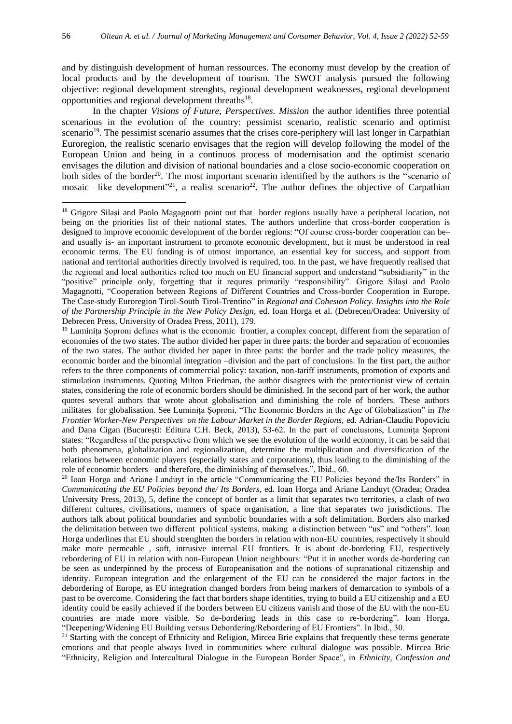and by distinguish development of human ressources. The economy must develop by the creation of local products and by the development of tourism. The SWOT analysis pursued the following objective: regional development strenghts, regional development weaknesses, regional development opportunities and regional development threaths<sup>18</sup>.

In the chapter *Visions of Future, Perspectives. Mission* the author identifies three potential scenarious in the evolution of the country: pessimist scenario, realistic scenario and optimist scenario<sup>19</sup>. The pessimist scenario assumes that the crises core-periphery will last longer in Carpathian Euroregion, the realistic scenario envisages that the region will develop following the model of the European Union and being in a continuos process of modernisation and the optimist scenario envisages the dilution and division of national boundaries and a close socio-economic cooperation on both sides of the border<sup>20</sup>. The most important scenario identified by the authors is the "scenario of mosaic –like development<sup>321</sup>, a realist scenario<sup>22</sup>. The author defines the objective of Carpathian

<sup>20</sup> Ioan Horga and Ariane Landuyt in the article "Communicating the EU Policies beyond the/Its Borders" in *Communicating the EU Policies beyond the/ Its Borders*, ed. Ioan Horga and Ariane Landuyt (Oradea; Oradea University Press, 2013), 5, define the concept of border as a limit that separates two territories, a clash of two different cultures, civilisations, manners of space organisation, a line that separates two jurisdictions. The authors talk about political boundaries and symbolic boundaries with a soft delimitation. Borders also marked the delimitation between two different political systems, making a distinction between "us" and "others". Ioan Horga underlines that EU should strenghten the borders in relation with non-EU countries, respectively it should make more permeable , soft, intrusive internal EU frontiers. It is about de-bordering EU, respectively rebordering of EU in relation with non-European Union neighbours: "Put it in another words de-bordering can be seen as underpinned by the process of Europeanisation and the notions of supranational citizenship and identity. European integration and the enlargement of the EU can be considered the major factors in the debordering of Europe, as EU integration changed borders from being markers of demarcation to symbols of a past to be overcome. Considering the fact that borders shape identities, trying to build a EU citizenship and a EU identity could be easily achieved if the borders between EU citizens vanish and those of the EU with the non-EU countries are made more visible. So de-bordering leads in this case to re-bordering". Ioan Horga, "Deepening/Widening EU Building versus Debordering/Rebordering of EU Frontiers". In Ibid., 30.

<sup>21</sup> Starting with the concept of Ethnicity and Religion, Mircea Brie explains that frequently these terms generate emotions and that people always lived in communities where cultural dialogue was possible. Mircea Brie "Ethnicity, Religion and Intercultural Dialogue in the European Border Space", in *Ethnicity, Confession and* 

<sup>&</sup>lt;sup>18</sup> Grigore Silași and Paolo Magagnotti point out that border regions usually have a peripheral location, not being on the priorities list of their national states. The authors underline that cross-border cooperation is designed to improve economic development of the border regions: "Of course cross-border cooperation can be– and usually is- an important instrument to promote economic development, but it must be understood in real economic terms. The EU funding is of utmost importance, an essential key for success, and support from national and territorial authorities directly involved is required, too. In the past, we have frequently realised that the regional and local authorities relied too much on EU financial support and understand "subsidiarity" in the "positive" principle only, forgetting that it requres primarily "responsibility". Grigore Silași and Paolo Magagnotti, "Cooperation between Regions of Different Countries and Cross-border Cooperation in Europe. The Case-study Euroregion Tirol-South Tirol-Trentino" in *Regional and Cohesion Policy. Insights into the Role of the Partnership Principle in the New Policy Design,* ed. Ioan Horga et al. (Debrecen/Oradea: University of Debrecen Press, University of Oradea Press, 2011), 179.

<sup>&</sup>lt;sup>19</sup> Luminița Șoproni defines what is the economic frontier, a complex concept, different from the separation of economies of the two states. The author divided her paper in three parts: the border and separation of economies of the two states. The author divided her paper in three parts: the border and the trade policy measures, the economic border and the binomial integration –division and the part of conclusions. In the first part, the author refers to the three components of commercial policy: taxation, non-tariff instruments, promotion of exports and stimulation instruments. Quoting Milton Friedman, the author disagrees with the protectionist view of certain states, considering the role of economic borders should be diminished. In the second part of her work, the author quotes several authors that wrote about globalisation and diminishing the role of borders. These authors militates for globalisation. See Luminița Șoproni, "The Economic Borders in the Age of Globalization" in *The Frontier Worker-New Perspectives on the Labour Market in the Border Regions,* ed. Adrian-Claudiu Popoviciu and Dana Cigan (București: Editura C.H. Beck, 2013), 53-62. In the part of conclusions, Luminița Șoproni states: "Regardless of the perspective from which we see the evolution of the world economy, it can be said that both phenomena, globalization and regionalization, determine the multiplication and diversification of the relations between economic players (especially states and corporations), thus leading to the diminishing of the role of economic borders –and therefore, the diminishing of themselves.", Ibid., 60.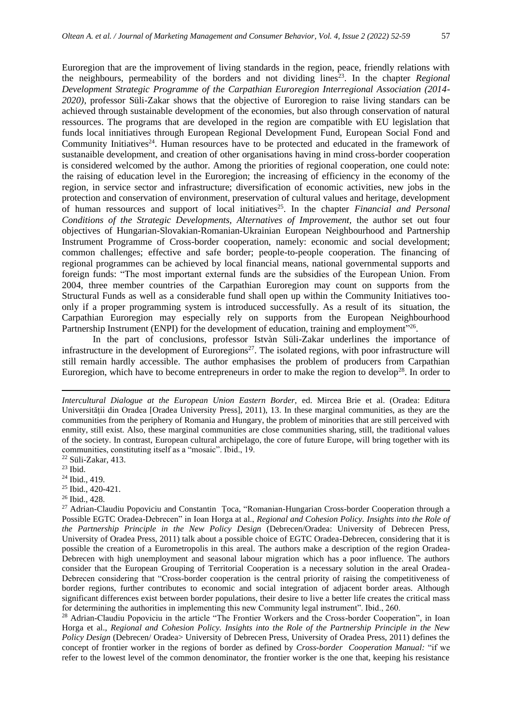Euroregion that are the improvement of living standards in the region, peace, friendly relations with the neighbours, permeability of the borders and not dividing lines<sup>23</sup>. In the chapter *Regional Development Strategic Programme of the Carpathian Euroregion Interregional Association (2014- 2020)*, professor Süli-Zakar shows that the objective of Euroregion to raise living standars can be achieved through sustainable development of the economies, but also through conservation of natural ressources. The programs that are developed in the region are compatible with EU legislation that funds local innitiatives through European Regional Development Fund, European Social Fond and Community Initiatives<sup>24</sup>. Human resources have to be protected and educated in the framework of sustanaible development, and creation of other organisations having in mind cross-border cooperation is considered welcomed by the author. Among the priorities of regional cooperation, one could note: the raising of education level in the Euroregion; the increasing of efficiency in the economy of the region, in service sector and infrastructure; diversification of economic activities, new jobs in the protection and conservation of environment, preservation of cultural values and heritage, development of human ressources and support of local initiatives<sup>25</sup>. In the chapter *Financial and Personal Conditions of the Strategic Developments, Alternatives of Improvement,* the author set out four objectives of Hungarian-Slovakian-Romanian-Ukrainian European Neighbourhood and Partnership Instrument Programme of Cross-border cooperation, namely: economic and social development; common challenges; effective and safe border; people-to-people cooperation. The financing of regional programmes can be achieved by local financial means, national governmental supports and foreign funds: "The most important external funds are the subsidies of the European Union. From 2004, three member countries of the Carpathian Euroregion may count on supports from the Structural Funds as well as a considerable fund shall open up within the Community Initiatives tooonly if a proper programming system is introduced successfully. As a result of its situation, the Carpathian Euroregion may especially rely on supports from the European Neighbourhood Partnership Instrument (ENPI) for the development of education, training and employment"<sup>26</sup>.

In the part of conclusions, professor Istvàn Süli-Zakar underlines the importance of infrastructure in the development of Euroregions<sup>27</sup>. The isolated regions, with poor infrastructure will still remain hardly accessible. The author emphasises the problem of producers from Carpathian Euroregion, which have to become entrepreneurs in order to make the region to develop<sup>28</sup>. In order to

- <sup>25</sup> Ibid., 420-421.
- <sup>26</sup> Ibid., 428.

*Intercultural Dialogue at the European Union Eastern Border,* ed. Mircea Brie et al. (Oradea: Editura Universității din Oradea [Oradea University Press], 2011), 13. In these marginal communities, as they are the communities from the periphery of Romania and Hungary, the problem of minorities that are still perceived with enmity, still exist. Also, these marginal communities are close communities sharing, still, the traditional values of the society. In contrast, European cultural archipelago, the core of future Europe, will bring together with its communities, constituting itself as a "mosaic". Ibid., 19.

<sup>22</sup> Süli-Zakar, 413.

<sup>23</sup> Ibid.

<sup>24</sup> Ibid., 419.

<sup>&</sup>lt;sup>27</sup> Adrian-Claudiu Popoviciu and Constantin *Toca*, "Romanian-Hungarian Cross-border Cooperation through a Possible EGTC Oradea-Debrecen" in Ioan Horga at al., *Regional and Cohesion Policy. Insights into the Role of the Partnership Principle in the New Policy Design* (Debrecen/Oradea: University of Debrecen Press, University of Oradea Press, 2011) talk about a possible choice of EGTC Oradea-Debrecen, considering that it is possible the creation of a Eurometropolis in this areal. The authors make a description of the region Oradea-Debrecen with high unemployment and seasonal labour migration which has a poor influence. The authors consider that the European Grouping of Territorial Cooperation is a necessary solution in the areal Oradea-Debrecen considering that "Cross-border cooperation is the central priority of raising the competitiveness of border regions, further contributes to economic and social integration of adjacent border areas. Although significant differences exist between border populations, their desire to live a better life creates the critical mass for determining the authorities in implementing this new Community legal instrument". Ibid., 260.

<sup>&</sup>lt;sup>28</sup> Adrian-Claudiu Popoviciu in the article "The Frontier Workers and the Cross-border Cooperation", in Ioan Horga et al., *Regional and Cohesion Policy. Insights into the Role of the Partnership Principle in the New Policy Design (Debrecen/ Oradea> University of Debrecen Press, University of Oradea Press, 2011) defines the* concept of frontier worker in the regions of border as defined by *Cross-border Cooperation Manual:* "if we refer to the lowest level of the common denominator, the frontier worker is the one that, keeping his resistance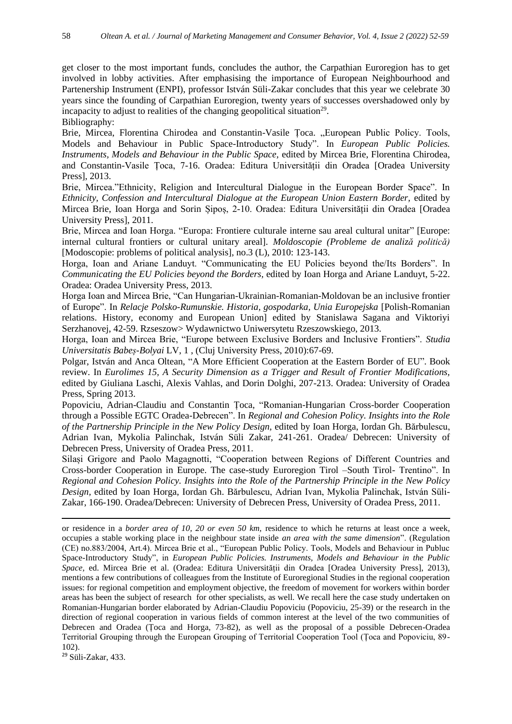get closer to the most important funds, concludes the author, the Carpathian Euroregion has to get involved in lobby activities. After emphasising the importance of European Neighbourhood and Partenership Instrument (ENPI), professor István Süli-Zakar concludes that this year we celebrate 30 years since the founding of Carpathian Euroregion, twenty years of successes overshadowed only by incapacity to adjust to realities of the changing geopolitical situation<sup>29</sup>. Bibliography:

Brie, Mircea, Florentina Chirodea and Constantin-Vasile Toca. "European Public Policy. Tools, Models and Behaviour in Public Space-Introductory Study". In *European Public Policies. Instruments, Models and Behaviour in the Public Space,* edited by Mircea Brie, Florentina Chirodea, and Constantin-Vasile Țoca, 7-16. Oradea: Editura Universității din Oradea [Oradea University Press], 2013.

Brie, Mircea."Ethnicity, Religion and Intercultural Dialogue in the European Border Space". In *Ethnicity, Confession and Intercultural Dialogue at the European Union Eastern Border,* edited by Mircea Brie, Ioan Horga and Sorin Șipoș, 2-10. Oradea: Editura Universității din Oradea [Oradea University Press], 2011.

Brie, Mircea and Ioan Horga. "Europa: Frontiere culturale interne sau areal cultural unitar" [Europe: internal cultural frontiers or cultural unitary areal]. *Moldoscopie (Probleme de analiză politică)*  [Modoscopie: problems of political analysis], no.3 (L), 2010: 123-143.

Horga, Ioan and Ariane Landuyt. "Communicating the EU Policies beyond the/Its Borders". In *Communicating the EU Policies beyond the Borders,* edited by Ioan Horga and Ariane Landuyt, 5-22. Oradea: Oradea University Press, 2013.

Horga Ioan and Mircea Brie, "Can Hungarian-Ukrainian-Romanian-Moldovan be an inclusive frontier of Europe". In *Relacje Polsko-Rumunskie. Historia, gospodarka, Unia Europejska* [Polish-Romanian relations. History, economy and European Union] edited by Stanislawa Sagana and Viktoriyi Serzhanovej, 42-59. Rzseszow> Wydawnictwo Uniwersytetu Rzeszowskiego, 2013.

Horga, Ioan and Mircea Brie, "Europe between Exclusive Borders and Inclusive Frontiers". *Studia Universitatis Babeș-Bolyai* LV, 1 , (Cluj University Press, 2010):67-69.

Polgar, István and Anca Oltean, "A More Efficient Cooperation at the Eastern Border of EU". Book review. In *Eurolimes 15, A Security Dimension as a Trigger and Result of Frontier Modifications,*  edited by Giuliana Laschi, Alexis Vahlas, and Dorin Dolghi, 207-213. Oradea: University of Oradea Press, Spring 2013.

Popoviciu, Adrian-Claudiu and Constantin Țoca, "Romanian-Hungarian Cross-border Cooperation through a Possible EGTC Oradea-Debrecen". In *Regional and Cohesion Policy. Insights into the Role of the Partnership Principle in the New Policy Design,* edited by Ioan Horga, Iordan Gh. Bărbulescu, Adrian Ivan, Mykolia Palinchak, István Süli Zakar, 241-261. Oradea/ Debrecen: University of Debrecen Press, University of Oradea Press, 2011.

Silași Grigore and Paolo Magagnotti, "Cooperation between Regions of Different Countries and Cross-border Cooperation in Europe. The case-study Euroregion Tirol –South Tirol- Trentino". In *Regional and Cohesion Policy. Insights into the Role of the Partnership Principle in the New Policy Design,* edited by Ioan Horga, Iordan Gh. Bărbulescu, Adrian Ivan, Mykolia Palinchak, István Süli-Zakar, 166-190. Oradea/Debrecen: University of Debrecen Press, University of Oradea Press, 2011.

<sup>29</sup> Süli-Zakar, 433.

or residence in a *border area of 10, 20 or even 50 km,* residence to which he returns at least once a week, occupies a stable working place in the neighbour state inside *an area with the same dimension*". (Regulation (CE) no.883/2004, Art.4). Mircea Brie et al., "European Public Policy. Tools, Models and Behaviour in Publuc Space-Introductory Study", in *European Public Policies. Instruments, Models and Behaviour in the Public Space,* ed. Mircea Brie et al. (Oradea: Editura Universității din Oradea [Oradea University Press], 2013), mentions a few contributions of colleagues from the Institute of Euroregional Studies in the regional cooperation issues: for regional competition and employment objective, the freedom of movement for workers within border areas has been the subject of research for other specialists, as well. We recall here the case study undertaken on Romanian-Hungarian border elaborated by Adrian-Claudiu Popoviciu (Popoviciu, 25-39) or the research in the direction of regional cooperation in various fields of common interest at the level of the two communities of Debrecen and Oradea (Țoca and Horga, 73-82), as well as the proposal of a possible Debrecen-Oradea Territorial Grouping through the European Grouping of Territorial Cooperation Tool (Țoca and Popoviciu, 89- 102).